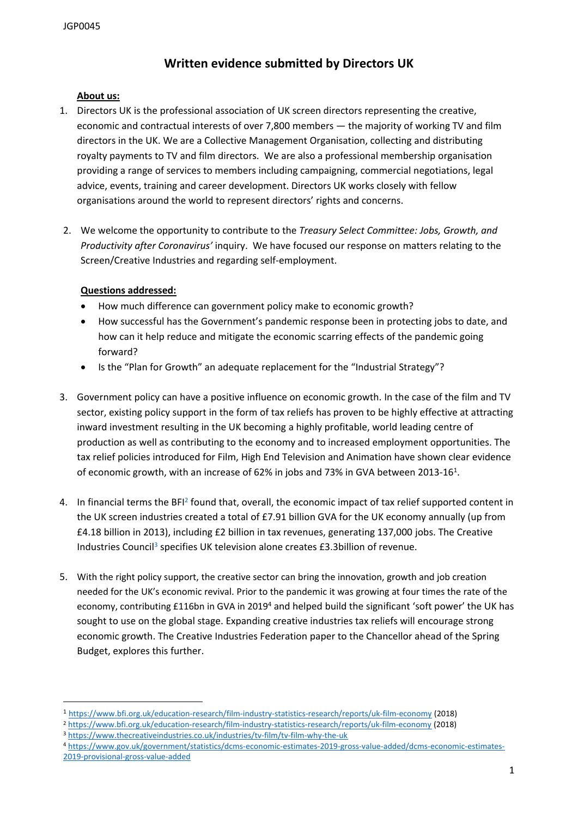# **Written evidence submitted by Directors UK**

## **About us:**

- 1. Directors UK is the professional association of UK screen directors representing the creative, economic and contractual interests of over 7,800 members — the majority of working TV and film directors in the UK. We are a Collective Management Organisation, collecting and distributing royalty payments to TV and film directors. We are also a professional membership organisation providing a range of services to members including campaigning, commercial negotiations, legal advice, events, training and career development. Directors UK works closely with fellow organisations around the world to represent directors' rights and concerns.
- 2. We welcome the opportunity to contribute to the *Treasury Select Committee: Jobs, Growth, and Productivity after Coronavirus'* inquiry. We have focused our response on matters relating to the Screen/Creative Industries and regarding self-employment.

## **Questions addressed:**

- How much difference can government policy make to economic growth?
- How successful has the Government's pandemic response been in protecting jobs to date, and how can it help reduce and mitigate the economic scarring effects of the pandemic going forward?
- Is the "Plan for Growth" an adequate replacement for the "Industrial Strategy"?
- 3. Government policy can have a positive influence on economic growth. In the case of the film and TV sector, existing policy support in the form of tax reliefs has proven to be highly effective at attracting inward investment resulting in the UK becoming a highly profitable, world leading centre of production as well as contributing to the economy and to increased employment opportunities. The tax relief policies introduced for Film, High End Television and Animation have shown clear evidence of economic growth, with an increase of 62% in jobs and 73% in GVA between 2013-16<sup>1</sup>.
- 4. In financial terms the BFI<sup>2</sup> found that, overall, the economic impact of tax relief supported content in the UK screen industries created a total of £7.91 billion GVA for the UK economy annually (up from £4.18 billion in 2013), including £2 billion in tax revenues, generating 137,000 jobs. The Creative Industries Council<sup>3</sup> specifies UK television alone creates £3.3billion of revenue.
- 5. With the right policy support, the creative sector can bring the innovation, growth and job creation needed for the UK's economic revival. Prior to the pandemic it was growing at four times the rate of the economy, contributing £116bn in GVA in 2019<sup>4</sup> and helped build the significant 'soft power' the UK has sought to use on the global stage. Expanding creative industries tax reliefs will encourage strong economic growth. The Creative Industries Federation paper to the Chancellor ahead of the Spring Budget, explores this further.

<sup>2</sup> <https://www.bfi.org.uk/education-research/film-industry-statistics-research/reports/uk-film-economy> (2018)

<sup>1</sup> <https://www.bfi.org.uk/education-research/film-industry-statistics-research/reports/uk-film-economy> (2018)

<sup>3</sup> <https://www.thecreativeindustries.co.uk/industries/tv-film/tv-film-why-the-uk>

<sup>4</sup> [https://www.gov.uk/government/statistics/dcms-economic-estimates-2019-gross-value-added/dcms-economic-estimates-](https://www.gov.uk/government/statistics/dcms-economic-estimates-2019-gross-value-added/dcms-economic-estimates-2019-provisional-gross-value-added)[2019-provisional-gross-value-added](https://www.gov.uk/government/statistics/dcms-economic-estimates-2019-gross-value-added/dcms-economic-estimates-2019-provisional-gross-value-added)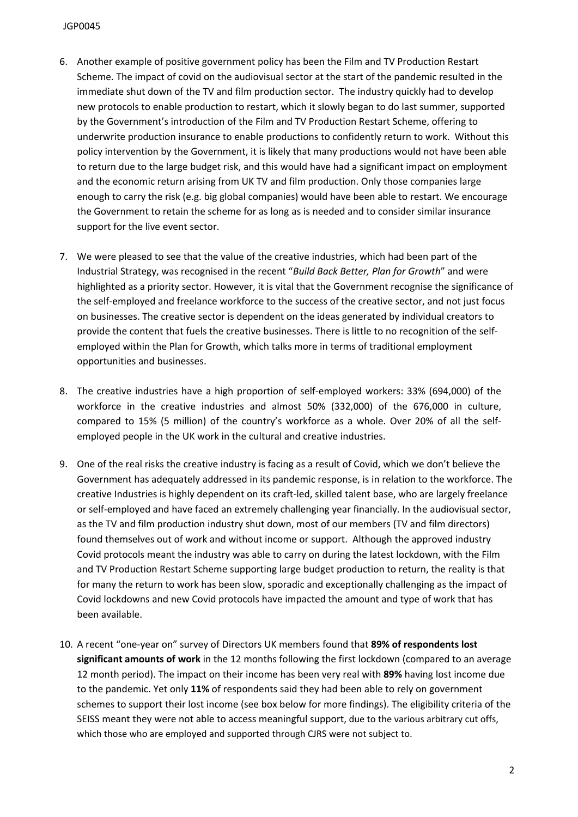- 6. Another example of positive government policy has been the Film and TV Production Restart Scheme. The impact of covid on the audiovisual sector at the start of the pandemic resulted in the immediate shut down of the TV and film production sector. The industry quickly had to develop new protocols to enable production to restart, which it slowly began to do last summer, supported by the Government's introduction of the Film and TV Production Restart Scheme, offering to underwrite production insurance to enable productions to confidently return to work. Without this policy intervention by the Government, it is likely that many productions would not have been able to return due to the large budget risk, and this would have had a significant impact on employment and the economic return arising from UK TV and film production. Only those companies large enough to carry the risk (e.g. big global companies) would have been able to restart. We encourage the Government to retain the scheme for as long as is needed and to consider similar insurance support for the live event sector.
- 7. We were pleased to see that the value of the creative industries, which had been part of the Industrial Strategy, was recognised in the recent "*Build Back Better, Plan for Growth*" and were highlighted as a priority sector. However, it is vital that the Government recognise the significance of the self-employed and freelance workforce to the success of the creative sector, and not just focus on businesses. The creative sector is dependent on the ideas generated by individual creators to provide the content that fuels the creative businesses. There is little to no recognition of the selfemployed within the Plan for Growth, which talks more in terms of traditional employment opportunities and businesses.
- 8. The creative industries have a high proportion of self-employed workers: 33% (694,000) of the workforce in the creative industries and almost 50% (332,000) of the 676,000 in culture, compared to 15% (5 million) of the country's workforce as a whole. Over 20% of all the selfemployed people in the UK work in the cultural and creative industries.
- 9. One of the real risks the creative industry is facing as a result of Covid, which we don't believe the Government has adequately addressed in its pandemic response, is in relation to the workforce. The creative Industries is highly dependent on its craft-led, skilled talent base, who are largely freelance or self-employed and have faced an extremely challenging year financially. In the audiovisual sector, as the TV and film production industry shut down, most of our members (TV and film directors) found themselves out of work and without income or support. Although the approved industry Covid protocols meant the industry was able to carry on during the latest lockdown, with the Film and TV Production Restart Scheme supporting large budget production to return, the reality is that for many the return to work has been slow, sporadic and exceptionally challenging as the impact of Covid lockdowns and new Covid protocols have impacted the amount and type of work that has been available.
- 10. A recent "one-year on" survey of Directors UK members found that **89% of respondents lost significant amounts of work** in the 12 months following the first lockdown (compared to an average 12 month period). The impact on their income has been very real with **89%** having lost income due to the pandemic. Yet only **11%** of respondents said they had been able to rely on government schemes to support their lost income (see box below for more findings). The eligibility criteria of the SEISS meant they were not able to access meaningful support, due to the various arbitrary cut offs, which those who are employed and supported through CJRS were not subject to.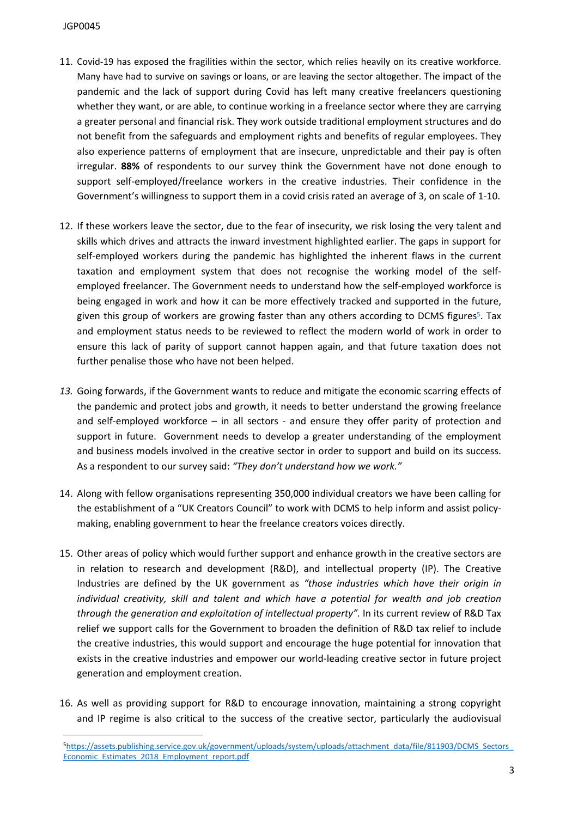#### JGP0045

- 11. Covid-19 has exposed the fragilities within the sector, which relies heavily on its creative workforce. Many have had to survive on savings or loans, or are leaving the sector altogether. The impact of the pandemic and the lack of support during Covid has left many creative freelancers questioning whether they want, or are able, to continue working in a freelance sector where they are carrying a greater personal and financial risk. They work outside traditional employment structures and do not benefit from the safeguards and employment rights and benefits of regular employees. They also experience patterns of employment that are insecure, unpredictable and their pay is often irregular. **88%** of respondents to our survey think the Government have not done enough to support self-employed/freelance workers in the creative industries. Their confidence in the Government's willingness to support them in a covid crisis rated an average of 3, on scale of 1-10.
- 12. If these workers leave the sector, due to the fear of insecurity, we risk losing the very talent and skills which drives and attracts the inward investment highlighted earlier. The gaps in support for self-employed workers during the pandemic has highlighted the inherent flaws in the current taxation and employment system that does not recognise the working model of the selfemployed freelancer. The Government needs to understand how the self-employed workforce is being engaged in work and how it can be more effectively tracked and supported in the future, given this group of workers are growing faster than any others according to DCMS figures<sup>5</sup>. Tax and employment status needs to be reviewed to reflect the modern world of work in order to ensure this lack of parity of support cannot happen again, and that future taxation does not further penalise those who have not been helped.
- *13.* Going forwards, if the Government wants to reduce and mitigate the economic scarring effects of the pandemic and protect jobs and growth, it needs to better understand the growing freelance and self-employed workforce – in all sectors - and ensure they offer parity of protection and support in future. Government needs to develop a greater understanding of the employment and business models involved in the creative sector in order to support and build on its success. As a respondent to our survey said: *"They don't understand how we work."*
- 14. Along with fellow organisations representing 350,000 individual creators we have been calling for the establishment of a "UK Creators Council" to work with DCMS to help inform and assist policymaking, enabling government to hear the freelance creators voices directly.
- 15. Other areas of policy which would further support and enhance growth in the creative sectors are in relation to research and development (R&D), and intellectual property (IP). The Creative Industries are defined by the UK government as *"those industries which have their origin in individual creativity, skill and talent and which have a potential for wealth and job creation through the generation and exploitation of intellectual property".* In its current review of R&D Tax relief we support calls for the Government to broaden the definition of R&D tax relief to include the creative industries, this would support and encourage the huge potential for innovation that exists in the creative industries and empower our world-leading creative sector in future project generation and employment creation.
- 16. As well as providing support for R&D to encourage innovation, maintaining a strong copyright and IP regime is also critical to the success of the creative sector, particularly the audiovisual

<sup>5</sup>[https://assets.publishing.service.gov.uk/government/uploads/system/uploads/attachment\\_data/file/811903/DCMS\\_Sectors\\_](https://assets.publishing.service.gov.uk/government/uploads/system/uploads/attachment_data/file/811903/DCMS_Sectors_Economic_Estimates_2018_Employment_report.pdf) [Economic\\_Estimates\\_2018\\_Employment\\_report.pdf](https://assets.publishing.service.gov.uk/government/uploads/system/uploads/attachment_data/file/811903/DCMS_Sectors_Economic_Estimates_2018_Employment_report.pdf)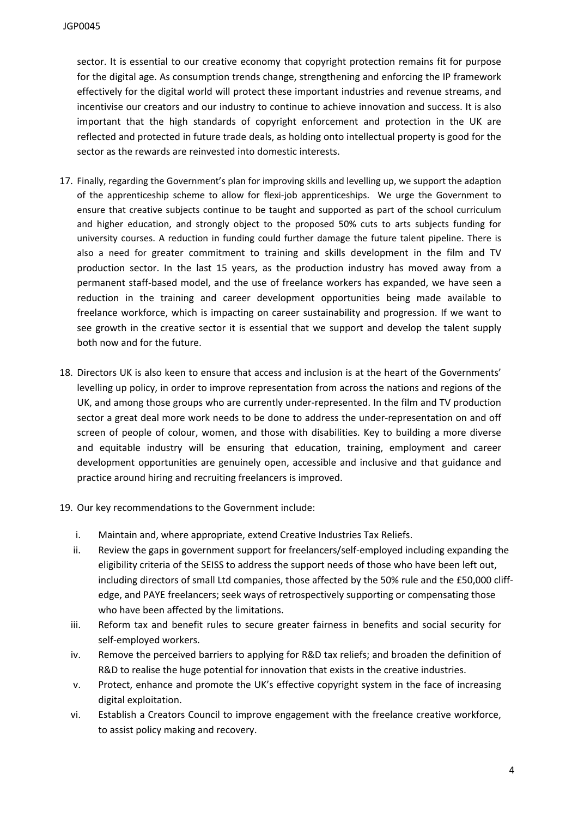sector. It is essential to our creative economy that copyright protection remains fit for purpose for the digital age. As consumption trends change, strengthening and enforcing the IP framework effectively for the digital world will protect these important industries and revenue streams, and incentivise our creators and our industry to continue to achieve innovation and success. It is also important that the high standards of copyright enforcement and protection in the UK are reflected and protected in future trade deals, as holding onto intellectual property is good for the sector as the rewards are reinvested into domestic interests.

- 17. Finally, regarding the Government's plan for improving skills and levelling up, we support the adaption of the apprenticeship scheme to allow for flexi-job apprenticeships. We urge the Government to ensure that creative subjects continue to be taught and supported as part of the school curriculum and higher education, and strongly object to the proposed 50% cuts to arts subjects funding for university courses. A reduction in funding could further damage the future talent pipeline. There is also a need for greater commitment to training and skills development in the film and TV production sector. In the last 15 years, as the production industry has moved away from a permanent staff-based model, and the use of freelance workers has expanded, we have seen a reduction in the training and career development opportunities being made available to freelance workforce, which is impacting on career sustainability and progression. If we want to see growth in the creative sector it is essential that we support and develop the talent supply both now and for the future.
- 18. Directors UK is also keen to ensure that access and inclusion is at the heart of the Governments' levelling up policy, in order to improve representation from across the nations and regions of the UK, and among those groups who are currently under-represented. In the film and TV production sector a great deal more work needs to be done to address the under-representation on and off screen of people of colour, women, and those with disabilities. Key to building a more diverse and equitable industry will be ensuring that education, training, employment and career development opportunities are genuinely open, accessible and inclusive and that guidance and practice around hiring and recruiting freelancers is improved.
- 19. Our key recommendations to the Government include:
	- i. Maintain and, where appropriate, extend Creative Industries Tax Reliefs.
	- ii. Review the gaps in government support for freelancers/self-employed including expanding the eligibility criteria of the SEISS to address the support needs of those who have been left out, including directors of small Ltd companies, those affected by the 50% rule and the £50,000 cliffedge, and PAYE freelancers; seek ways of retrospectively supporting or compensating those who have been affected by the limitations.
	- iii. Reform tax and benefit rules to secure greater fairness in benefits and social security for self-employed workers.
	- iv. Remove the perceived barriers to applying for R&D tax reliefs; and broaden the definition of R&D to realise the huge potential for innovation that exists in the creative industries.
	- v. Protect, enhance and promote the UK's effective copyright system in the face of increasing digital exploitation.
	- vi. Establish a Creators Council to improve engagement with the freelance creative workforce, to assist policy making and recovery.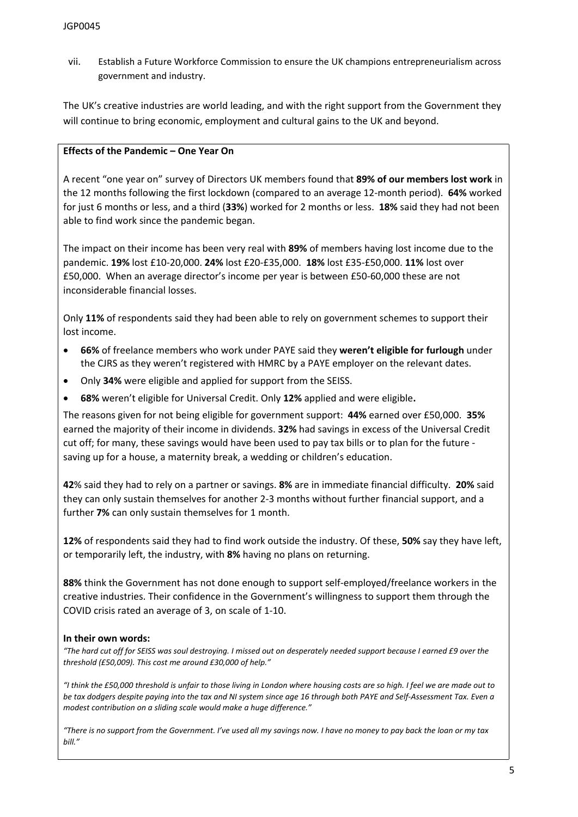vii. Establish a Future Workforce Commission to ensure the UK champions entrepreneurialism across government and industry.

The UK's creative industries are world leading, and with the right support from the Government they will continue to bring economic, employment and cultural gains to the UK and beyond.

### **Effects of the Pandemic – One Year On**

A recent "one year on" survey of Directors UK members found that **89% of our members lost work** in the 12 months following the first lockdown (compared to an average 12-month period). **64%** worked for just 6 months or less, and a third (**33%**) worked for 2 months or less. **18%** said they had not been able to find work since the pandemic began.

The impact on their income has been very real with **89%** of members having lost income due to the pandemic. **19%** lost £10-20,000. **24%** lost £20-£35,000. **18%** lost £35-£50,000. **11%** lost over £50,000. When an average director's income per year is between £50-60,000 these are not inconsiderable financial losses.

Only **11%** of respondents said they had been able to rely on government schemes to support their lost income.

- **66%** of freelance members who work under PAYE said they **weren't eligible for furlough** under the CJRS as they weren't registered with HMRC by a PAYE employer on the relevant dates.
- Only **34%** were eligible and applied for support from the SEISS.
- **68%** weren't eligible for Universal Credit. Only **12%** applied and were eligible**.**

The reasons given for not being eligible for government support: **44%** earned over £50,000. **35%** earned the majority of their income in dividends. **32%** had savings in excess of the Universal Credit cut off; for many, these savings would have been used to pay tax bills or to plan for the future saving up for a house, a maternity break, a wedding or children's education.

**42**% said they had to rely on a partner or savings. **8%** are in immediate financial difficulty. **20%** said they can only sustain themselves for another 2-3 months without further financial support, and a further **7%** can only sustain themselves for 1 month.

**12%** of respondents said they had to find work outside the industry. Of these, **50%** say they have left, or temporarily left, the industry, with **8%** having no plans on returning.

**88%** think the Government has not done enough to support self-employed/freelance workers in the creative industries. Their confidence in the Government's willingness to support them through the COVID crisis rated an average of 3, on scale of 1-10.

#### **In their own words:**

"The hard cut off for SEISS was soul destroying. I missed out on desperately needed support because I earned £9 over the *threshold (£50,009). This cost me around £30,000 of help."*

"I think the £50,000 threshold is unfair to those living in London where housing costs are so high. I feel we are made out to be tax dodaers despite paying into the tax and NI system since age 16 through both PAYE and Self-Assessment Tax. Even a *modest contribution on a sliding scale would make a huge difference."*

"There is no support from the Government. I've used all my savings now. I have no money to pay back the loan or my tax *bill."*